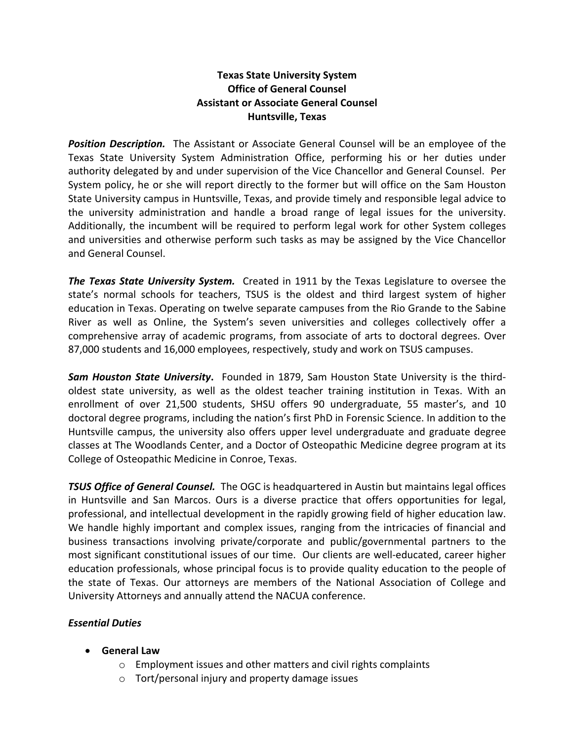# **Texas State University System Office of General Counsel Assistant or Associate General Counsel Huntsville, Texas**

**Position Description.** The Assistant or Associate General Counsel will be an employee of the Texas State University System Administration Office, performing his or her duties under authority delegated by and under supervision of the Vice Chancellor and General Counsel. Per System policy, he or she will report directly to the former but will office on the Sam Houston State University campus in Huntsville, Texas, and provide timely and responsible legal advice to the university administration and handle a broad range of legal issues for the university. Additionally, the incumbent will be required to perform legal work for other System colleges and universities and otherwise perform such tasks as may be assigned by the Vice Chancellor and General Counsel.

*The Texas State University System.* Created in 1911 by the Texas Legislature to oversee the state's normal schools for teachers, TSUS is the oldest and third largest system of higher education in Texas. Operating on twelve separate campuses from the Rio Grande to the Sabine River as well as Online, the System's seven universities and colleges collectively offer a comprehensive array of academic programs, from associate of arts to doctoral degrees. Over 87,000 students and 16,000 employees, respectively, study and work on TSUS campuses.

*Sam Houston State University***.** Founded in 1879, Sam Houston State University is the thirdoldest state university, as well as the oldest teacher training institution in Texas. With an enrollment of over 21,500 students, SHSU offers 90 undergraduate, 55 master's, and 10 doctoral degree programs, including the nation's first PhD in Forensic Science. In addition to the Huntsville campus, the university also offers upper level undergraduate and graduate degree classes at The Woodlands Center, and a Doctor of Osteopathic Medicine degree program at its College of Osteopathic Medicine in Conroe, Texas.

*TSUS Office of General Counsel.* The OGC is headquartered in Austin but maintains legal offices in Huntsville and San Marcos. Ours is a diverse practice that offers opportunities for legal, professional, and intellectual development in the rapidly growing field of higher education law. We handle highly important and complex issues, ranging from the intricacies of financial and business transactions involving private/corporate and public/governmental partners to the most significant constitutional issues of our time. Our clients are well-educated, career higher education professionals, whose principal focus is to provide quality education to the people of the state of Texas. Our attorneys are members of the National Association of College and University Attorneys and annually attend the NACUA conference.

# *Essential Duties*

- **General Law**
	- o Employment issues and other matters and civil rights complaints
	- o Tort/personal injury and property damage issues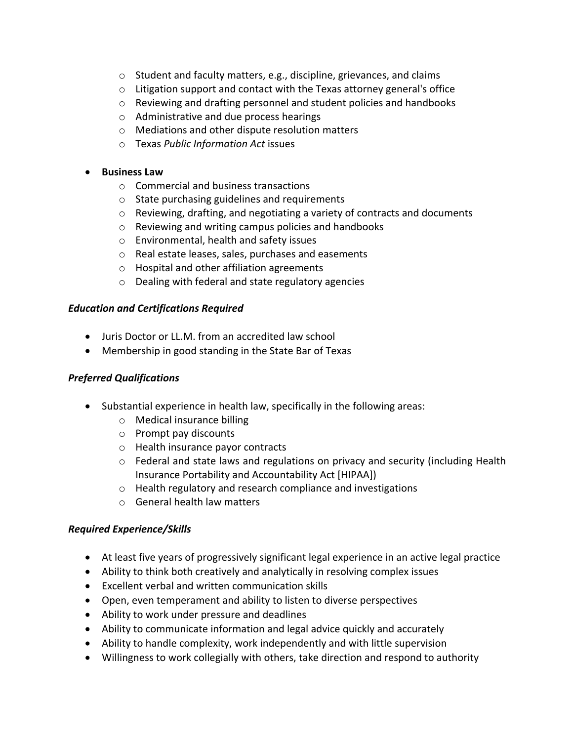- o Student and faculty matters, e.g., discipline, grievances, and claims
- o Litigation support and contact with the Texas attorney general's office
- o Reviewing and drafting personnel and student policies and handbooks
- o Administrative and due process hearings
- o Mediations and other dispute resolution matters
- o Texas *Public Information Act* issues

#### • **Business Law**

- o Commercial and business transactions
- o State purchasing guidelines and requirements
- o Reviewing, drafting, and negotiating a variety of contracts and documents
- o Reviewing and writing campus policies and handbooks
- o Environmental, health and safety issues
- o Real estate leases, sales, purchases and easements
- o Hospital and other affiliation agreements
- o Dealing with federal and state regulatory agencies

#### *Education and Certifications Required*

- Juris Doctor or LL.M. from an accredited law school
- Membership in good standing in the State Bar of Texas

# *Preferred Qualifications*

- Substantial experience in health law, specifically in the following areas:
	- o Medical insurance billing
	- o Prompt pay discounts
	- o Health insurance payor contracts
	- o Federal and state laws and regulations on privacy and security (including Health Insurance Portability and Accountability Act [HIPAA])
	- o Health regulatory and research compliance and investigations
	- o General health law matters

#### *Required Experience/Skills*

- At least five years of progressively significant legal experience in an active legal practice
- Ability to think both creatively and analytically in resolving complex issues
- Excellent verbal and written communication skills
- Open, even temperament and ability to listen to diverse perspectives
- Ability to work under pressure and deadlines
- Ability to communicate information and legal advice quickly and accurately
- Ability to handle complexity, work independently and with little supervision
- Willingness to work collegially with others, take direction and respond to authority